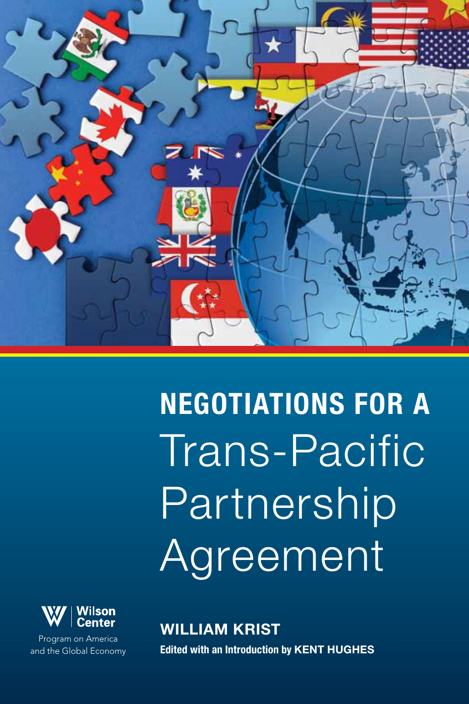

Negotiations for a Trans-Pacific Partnership Agreement



Program on America and the Global Economy William Krist **Edited with an Introduction by KENT HUGHES**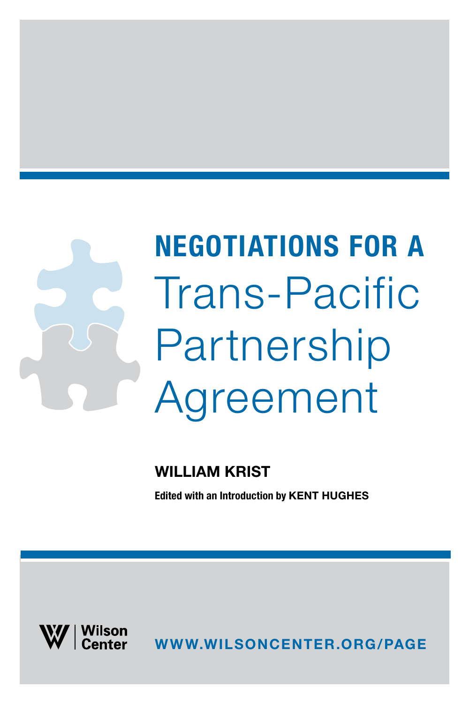# Negotiations for a Trans-Pacific Partnership Agreement

### William Krist

**Edited with an Introduction by KENT HUGHES** 



www.wilsoncenter.org/page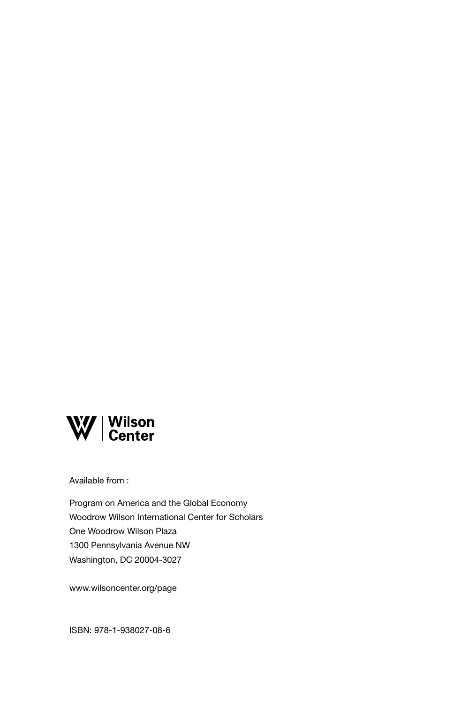

Available from :

Program on America and the Global Economy Woodrow Wilson International Center for Scholars One Woodrow Wilson Plaza 1300 Pennsylvania Avenue NW Washington, DC 20004-3027

www.wilsoncenter.org/page

ISBN: 978-1-938027-08-6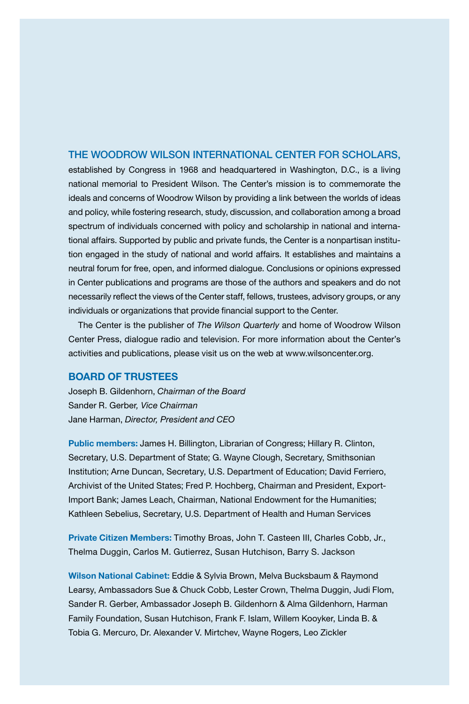#### The Woodrow Wilson International Center for Scholars,

established by Congress in 1968 and headquartered in Washington, D.C., is a living national memorial to President Wilson. The Center's mission is to commemorate the ideals and concerns of Woodrow Wilson by providing a link between the worlds of ideas and policy, while fostering research, study, discussion, and collaboration among a broad spectrum of individuals concerned with policy and scholarship in national and international affairs. Supported by public and private funds, the Center is a nonpartisan institution engaged in the study of national and world affairs. It establishes and maintains a neutral forum for free, open, and informed dialogue. Conclusions or opinions expressed in Center publications and programs are those of the authors and speakers and do not necessarily reflect the views of the Center staff, fellows, trustees, advisory groups, or any individuals or organizations that provide financial support to the Center.

The Center is the publisher of *The Wilson Quarterly* and home of Woodrow Wilson Center Press, dialogue radio and television. For more information about the Center's activities and publications, please visit us on the web at www.wilsoncenter.org.

#### Board of Trustees

Joseph B. Gildenhorn, *Chairman of the Board* Sander R. Gerber*, Vice Chairman* Jane Harman, *Director, President and CEO*

Public members: James H. Billington, Librarian of Congress; Hillary R. Clinton, Secretary, U.S. Department of State; G. Wayne Clough, Secretary, Smithsonian Institution; Arne Duncan, Secretary, U.S. Department of Education; David Ferriero, Archivist of the United States; Fred P. Hochberg, Chairman and President, Export-Import Bank; James Leach, Chairman, National Endowment for the Humanities; Kathleen Sebelius, Secretary, U.S. Department of Health and Human Services

Private Citizen Members: Timothy Broas, John T. Casteen III, Charles Cobb, Jr., Thelma Duggin, Carlos M. Gutierrez, Susan Hutchison, Barry S. Jackson

Wilson National Cabinet: Eddie & Sylvia Brown, Melva Bucksbaum & Raymond Learsy, Ambassadors Sue & Chuck Cobb, Lester Crown, Thelma Duggin, Judi Flom, Sander R. Gerber, Ambassador Joseph B. Gildenhorn & Alma Gildenhorn, Harman Family Foundation, Susan Hutchison, Frank F. Islam, Willem Kooyker, Linda B. & Tobia G. Mercuro, Dr. Alexander V. Mirtchev, Wayne Rogers, Leo Zickler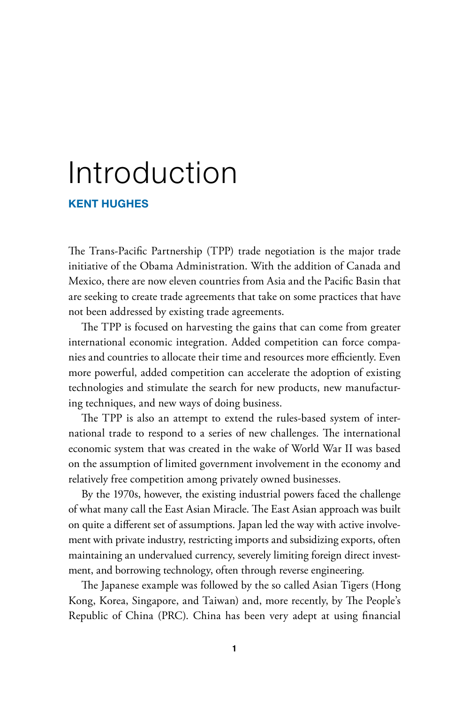### Introduction

#### Kent Hughes

The Trans-Pacific Partnership (TPP) trade negotiation is the major trade initiative of the Obama Administration. With the addition of Canada and Mexico, there are now eleven countries from Asia and the Pacific Basin that are seeking to create trade agreements that take on some practices that have not been addressed by existing trade agreements.

The TPP is focused on harvesting the gains that can come from greater international economic integration. Added competition can force companies and countries to allocate their time and resources more efficiently. Even more powerful, added competition can accelerate the adoption of existing technologies and stimulate the search for new products, new manufacturing techniques, and new ways of doing business.

The TPP is also an attempt to extend the rules-based system of international trade to respond to a series of new challenges. The international economic system that was created in the wake of World War II was based on the assumption of limited government involvement in the economy and relatively free competition among privately owned businesses.

By the 1970s, however, the existing industrial powers faced the challenge of what many call the East Asian Miracle. The East Asian approach was built on quite a different set of assumptions. Japan led the way with active involvement with private industry, restricting imports and subsidizing exports, often maintaining an undervalued currency, severely limiting foreign direct investment, and borrowing technology, often through reverse engineering.

The Japanese example was followed by the so called Asian Tigers (Hong Kong, Korea, Singapore, and Taiwan) and, more recently, by The People's Republic of China (PRC). China has been very adept at using financial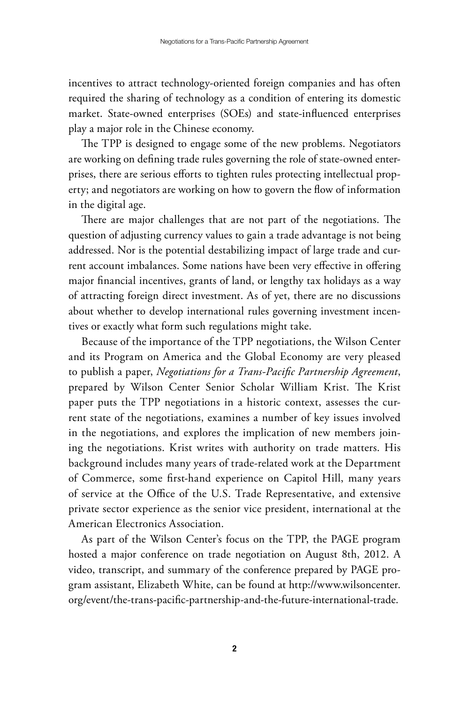incentives to attract technology-oriented foreign companies and has often required the sharing of technology as a condition of entering its domestic market. State-owned enterprises (SOEs) and state-influenced enterprises play a major role in the Chinese economy.

The TPP is designed to engage some of the new problems. Negotiators are working on defining trade rules governing the role of state-owned enterprises, there are serious efforts to tighten rules protecting intellectual property; and negotiators are working on how to govern the flow of information in the digital age.

There are major challenges that are not part of the negotiations. The question of adjusting currency values to gain a trade advantage is not being addressed. Nor is the potential destabilizing impact of large trade and current account imbalances. Some nations have been very effective in offering major financial incentives, grants of land, or lengthy tax holidays as a way of attracting foreign direct investment. As of yet, there are no discussions about whether to develop international rules governing investment incentives or exactly what form such regulations might take.

Because of the importance of the TPP negotiations, the Wilson Center and its Program on America and the Global Economy are very pleased to publish a paper, *Negotiations for a Trans-Pacific Partnership Agreement*, prepared by Wilson Center Senior Scholar William Krist. The Krist paper puts the TPP negotiations in a historic context, assesses the current state of the negotiations, examines a number of key issues involved in the negotiations, and explores the implication of new members joining the negotiations. Krist writes with authority on trade matters. His background includes many years of trade-related work at the Department of Commerce, some first-hand experience on Capitol Hill, many years of service at the Office of the U.S. Trade Representative, and extensive private sector experience as the senior vice president, international at the American Electronics Association.

As part of the Wilson Center's focus on the TPP, the PAGE program hosted a major conference on trade negotiation on August 8th, 2012. A video, transcript, and summary of the conference prepared by PAGE program assistant, Elizabeth White, can be found at http://www.wilsoncenter. org/event/the-trans-pacific-partnership-and-the-future-international-trade.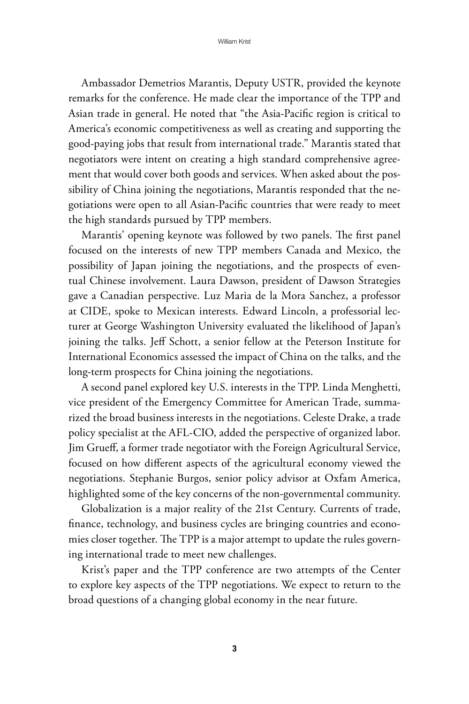Ambassador Demetrios Marantis, Deputy USTR, provided the keynote remarks for the conference. He made clear the importance of the TPP and Asian trade in general. He noted that "the Asia-Pacific region is critical to America's economic competitiveness as well as creating and supporting the good-paying jobs that result from international trade." Marantis stated that negotiators were intent on creating a high standard comprehensive agreement that would cover both goods and services. When asked about the possibility of China joining the negotiations, Marantis responded that the negotiations were open to all Asian-Pacific countries that were ready to meet the high standards pursued by TPP members.

Marantis' opening keynote was followed by two panels. The first panel focused on the interests of new TPP members Canada and Mexico, the possibility of Japan joining the negotiations, and the prospects of eventual Chinese involvement. Laura Dawson, president of Dawson Strategies gave a Canadian perspective. Luz Maria de la Mora Sanchez, a professor at CIDE, spoke to Mexican interests. Edward Lincoln, a professorial lecturer at George Washington University evaluated the likelihood of Japan's joining the talks. Jeff Schott, a senior fellow at the Peterson Institute for International Economics assessed the impact of China on the talks, and the long-term prospects for China joining the negotiations.

A second panel explored key U.S. interests in the TPP. Linda Menghetti, vice president of the Emergency Committee for American Trade, summarized the broad business interests in the negotiations. Celeste Drake, a trade policy specialist at the AFL-CIO, added the perspective of organized labor. Jim Grueff, a former trade negotiator with the Foreign Agricultural Service, focused on how different aspects of the agricultural economy viewed the negotiations. Stephanie Burgos, senior policy advisor at Oxfam America, highlighted some of the key concerns of the non-governmental community.

Globalization is a major reality of the 21st Century. Currents of trade, finance, technology, and business cycles are bringing countries and economies closer together. The TPP is a major attempt to update the rules governing international trade to meet new challenges.

Krist's paper and the TPP conference are two attempts of the Center to explore key aspects of the TPP negotiations. We expect to return to the broad questions of a changing global economy in the near future.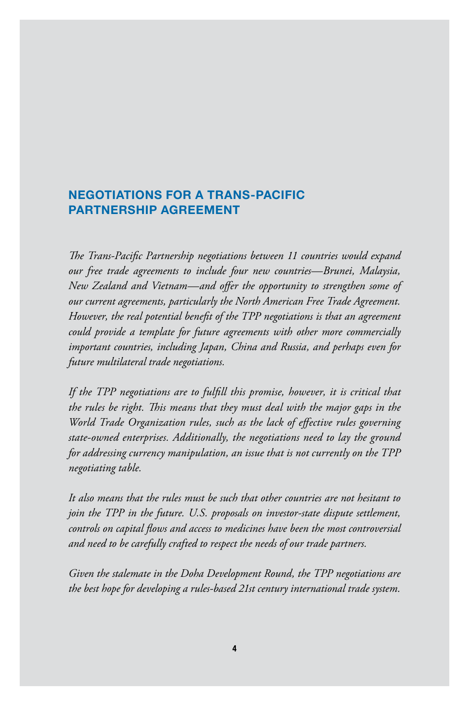#### Negotiations for a Trans-Pacific Partnership Agreement

*The Trans-Pacific Partnership negotiations between 11 countries would expand our free trade agreements to include four new countries—Brunei, Malaysia, New Zealand and Vietnam—and offer the opportunity to strengthen some of our current agreements, particularly the North American Free Trade Agreement. However, the real potential benefit of the TPP negotiations is that an agreement could provide a template for future agreements with other more commercially important countries, including Japan, China and Russia, and perhaps even for future multilateral trade negotiations.*

*If the TPP negotiations are to fulfill this promise, however, it is critical that the rules be right. This means that they must deal with the major gaps in the World Trade Organization rules, such as the lack of effective rules governing state-owned enterprises. Additionally, the negotiations need to lay the ground for addressing currency manipulation, an issue that is not currently on the TPP negotiating table.* 

*It also means that the rules must be such that other countries are not hesitant to join the TPP in the future. U.S. proposals on investor-state dispute settlement, controls on capital flows and access to medicines have been the most controversial and need to be carefully crafted to respect the needs of our trade partners.*

*Given the stalemate in the Doha Development Round, the TPP negotiations are the best hope for developing a rules-based 21st century international trade system.*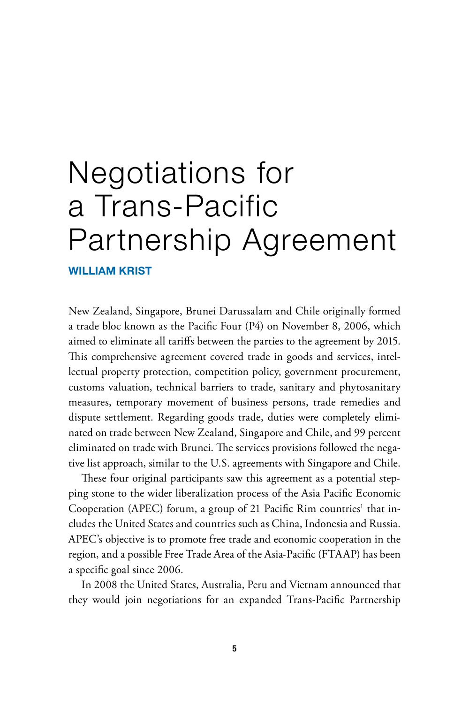## Negotiations for a Trans-Pacific Partnership Agreement

William Krist

New Zealand, Singapore, Brunei Darussalam and Chile originally formed a trade bloc known as the Pacific Four (P4) on November 8, 2006, which aimed to eliminate all tariffs between the parties to the agreement by 2015. This comprehensive agreement covered trade in goods and services, intellectual property protection, competition policy, government procurement, customs valuation, technical barriers to trade, sanitary and phytosanitary measures, temporary movement of business persons, trade remedies and dispute settlement. Regarding goods trade, duties were completely eliminated on trade between New Zealand, Singapore and Chile, and 99 percent eliminated on trade with Brunei. The services provisions followed the negative list approach, similar to the U.S. agreements with Singapore and Chile.

These four original participants saw this agreement as a potential stepping stone to the wider liberalization process of the Asia Pacific Economic Cooperation (APEC) forum, a group of 21 Pacific Rim countries<sup>1</sup> that includes the United States and countries such as China, Indonesia and Russia. APEC's objective is to promote free trade and economic cooperation in the region, and a possible Free Trade Area of the Asia-Pacific (FTAAP) has been a specific goal since 2006.

In 2008 the United States, Australia, Peru and Vietnam announced that they would join negotiations for an expanded Trans-Pacific Partnership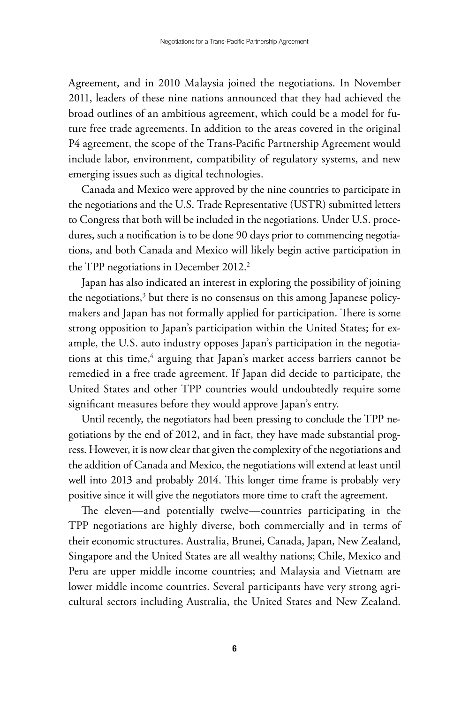Agreement, and in 2010 Malaysia joined the negotiations. In November 2011, leaders of these nine nations announced that they had achieved the broad outlines of an ambitious agreement, which could be a model for future free trade agreements. In addition to the areas covered in the original P4 agreement, the scope of the Trans-Pacific Partnership Agreement would include labor, environment, compatibility of regulatory systems, and new emerging issues such as digital technologies.

Canada and Mexico were approved by the nine countries to participate in the negotiations and the U.S. Trade Representative (USTR) submitted letters to Congress that both will be included in the negotiations. Under U.S. procedures, such a notification is to be done 90 days prior to commencing negotiations, and both Canada and Mexico will likely begin active participation in the TPP negotiations in December 2012.<sup>2</sup>

Japan has also indicated an interest in exploring the possibility of joining the negotiations,<sup>3</sup> but there is no consensus on this among Japanese policymakers and Japan has not formally applied for participation. There is some strong opposition to Japan's participation within the United States; for example, the U.S. auto industry opposes Japan's participation in the negotiations at this time,<sup>4</sup> arguing that Japan's market access barriers cannot be remedied in a free trade agreement. If Japan did decide to participate, the United States and other TPP countries would undoubtedly require some significant measures before they would approve Japan's entry.

Until recently, the negotiators had been pressing to conclude the TPP negotiations by the end of 2012, and in fact, they have made substantial progress. However, it is now clear that given the complexity of the negotiations and the addition of Canada and Mexico, the negotiations will extend at least until well into 2013 and probably 2014. This longer time frame is probably very positive since it will give the negotiators more time to craft the agreement.

The eleven—and potentially twelve—countries participating in the TPP negotiations are highly diverse, both commercially and in terms of their economic structures. Australia, Brunei, Canada, Japan, New Zealand, Singapore and the United States are all wealthy nations; Chile, Mexico and Peru are upper middle income countries; and Malaysia and Vietnam are lower middle income countries. Several participants have very strong agricultural sectors including Australia, the United States and New Zealand.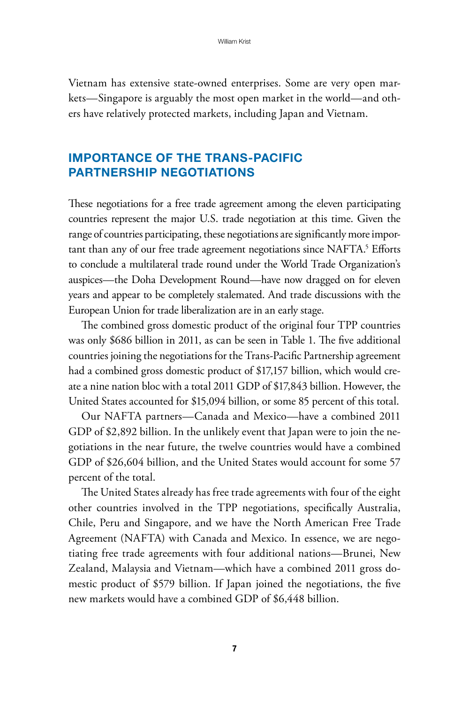Vietnam has extensive state-owned enterprises. Some are very open markets—Singapore is arguably the most open market in the world—and others have relatively protected markets, including Japan and Vietnam.

#### Importance of the Trans-Pacific Partnership Negotiations

These negotiations for a free trade agreement among the eleven participating countries represent the major U.S. trade negotiation at this time. Given the range of countries participating, these negotiations are significantly more important than any of our free trade agreement negotiations since NAFTA.<sup>5</sup> Efforts to conclude a multilateral trade round under the World Trade Organization's auspices—the Doha Development Round—have now dragged on for eleven years and appear to be completely stalemated. And trade discussions with the European Union for trade liberalization are in an early stage.

The combined gross domestic product of the original four TPP countries was only \$686 billion in 2011, as can be seen in Table 1. The five additional countries joining the negotiations for the Trans-Pacific Partnership agreement had a combined gross domestic product of \$17,157 billion, which would create a nine nation bloc with a total 2011 GDP of \$17,843 billion. However, the United States accounted for \$15,094 billion, or some 85 percent of this total.

Our NAFTA partners—Canada and Mexico—have a combined 2011 GDP of \$2,892 billion. In the unlikely event that Japan were to join the negotiations in the near future, the twelve countries would have a combined GDP of \$26,604 billion, and the United States would account for some 57 percent of the total.

The United States already has free trade agreements with four of the eight other countries involved in the TPP negotiations, specifically Australia, Chile, Peru and Singapore, and we have the North American Free Trade Agreement (NAFTA) with Canada and Mexico. In essence, we are negotiating free trade agreements with four additional nations—Brunei, New Zealand, Malaysia and Vietnam—which have a combined 2011 gross domestic product of \$579 billion. If Japan joined the negotiations, the five new markets would have a combined GDP of \$6,448 billion.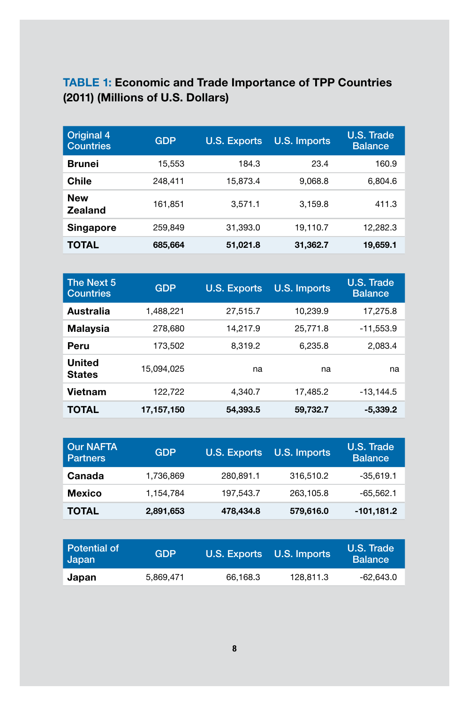#### Table 1: Economic and Trade Importance of TPP Countries (2011) (Millions of U.S. Dollars)

| <b>Original 4</b><br><b>Countries</b> | <b>GDP</b> | <b>U.S. Exports</b> | <b>U.S. Imports</b> | U.S. Trade<br><b>Balance</b> |
|---------------------------------------|------------|---------------------|---------------------|------------------------------|
| <b>Brunei</b>                         | 15,553     | 184.3               | 23.4                | 160.9                        |
| Chile                                 | 248.411    | 15.873.4            | 9.068.8             | 6.804.6                      |
| <b>New</b><br><b>Zealand</b>          | 161,851    | 3.571.1             | 3.159.8             | 411.3                        |
| <b>Singapore</b>                      | 259.849    | 31.393.0            | 19,110.7            | 12.282.3                     |
| TOTAL                                 | 685,664    | 51,021.8            | 31,362.7            | 19,659.1                     |

| The Next 5<br><b>Countries</b> | <b>GDP</b> | <b>U.S. Exports</b> | <b>U.S. Imports</b> | U.S. Trade<br><b>Balance</b> |
|--------------------------------|------------|---------------------|---------------------|------------------------------|
| Australia                      | 1.488.221  | 27.515.7            | 10.239.9            | 17.275.8                     |
| <b>Malaysia</b>                | 278,680    | 14.217.9            | 25.771.8            | $-11.553.9$                  |
| Peru                           | 173.502    | 8.319.2             | 6.235.8             | 2,083.4                      |
| <b>United</b><br><b>States</b> | 15.094.025 | na                  | na                  | na                           |
| Vietnam                        | 122.722    | 4.340.7             | 17.485.2            | $-13.144.5$                  |
| TOTAL                          | 17,157,150 | 54.393.5            | 59,732.7            | $-5.339.2$                   |

| <b>Our NAFTA</b><br><b>Partners</b> | <b>GDP</b> | <b>U.S. Exports</b> | <b>U.S. Imports</b> | U.S. Trade<br><b>Balance</b> |
|-------------------------------------|------------|---------------------|---------------------|------------------------------|
| Canada                              | 1,736,869  | 280,891.1           | 316,510.2           | $-35,619.1$                  |
| <b>Mexico</b>                       | 1,154,784  | 197,543.7           | 263,105.8           | $-65,562.1$                  |
| <b>TOTAL</b>                        | 2,891,653  | 478,434.8           | 579,616.0           | $-101,181.2$                 |

| Potential of<br>Japan | <b>GDP</b> |          | U.S. Exports U.S. Imports | U.S. Trade<br><b>Balance</b> |
|-----------------------|------------|----------|---------------------------|------------------------------|
| Japan                 | 5.869.471  | 66.168.3 | 128.811.3                 | -62.643.0                    |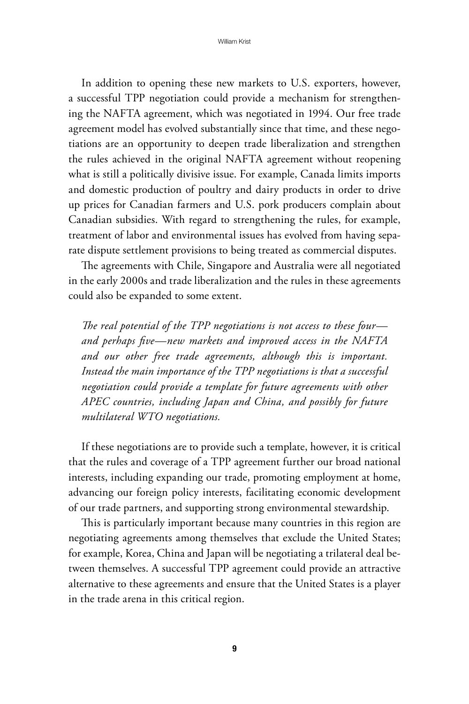In addition to opening these new markets to U.S. exporters, however, a successful TPP negotiation could provide a mechanism for strengthening the NAFTA agreement, which was negotiated in 1994. Our free trade agreement model has evolved substantially since that time, and these negotiations are an opportunity to deepen trade liberalization and strengthen the rules achieved in the original NAFTA agreement without reopening what is still a politically divisive issue. For example, Canada limits imports and domestic production of poultry and dairy products in order to drive up prices for Canadian farmers and U.S. pork producers complain about Canadian subsidies. With regard to strengthening the rules, for example, treatment of labor and environmental issues has evolved from having separate dispute settlement provisions to being treated as commercial disputes.

The agreements with Chile, Singapore and Australia were all negotiated in the early 2000s and trade liberalization and the rules in these agreements could also be expanded to some extent.

*The real potential of the TPP negotiations is not access to these four and perhaps five—new markets and improved access in the NAFTA and our other free trade agreements, although this is important. Instead the main importance of the TPP negotiations is that a successful negotiation could provide a template for future agreements with other APEC countries, including Japan and China, and possibly for future multilateral WTO negotiations.*

If these negotiations are to provide such a template, however, it is critical that the rules and coverage of a TPP agreement further our broad national interests, including expanding our trade, promoting employment at home, advancing our foreign policy interests, facilitating economic development of our trade partners, and supporting strong environmental stewardship.

This is particularly important because many countries in this region are negotiating agreements among themselves that exclude the United States; for example, Korea, China and Japan will be negotiating a trilateral deal between themselves. A successful TPP agreement could provide an attractive alternative to these agreements and ensure that the United States is a player in the trade arena in this critical region.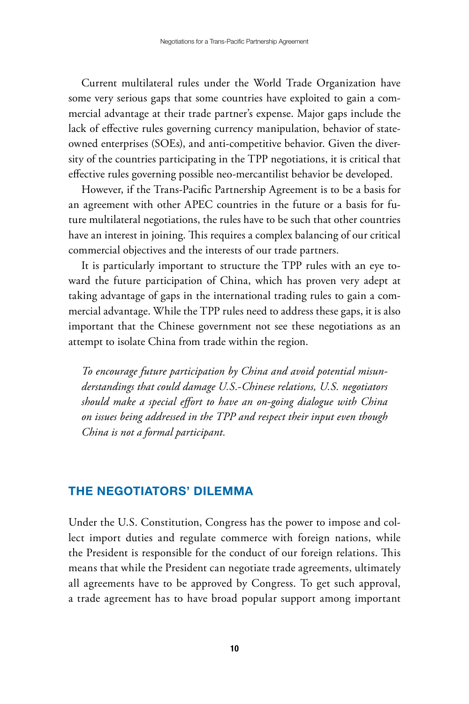Current multilateral rules under the World Trade Organization have some very serious gaps that some countries have exploited to gain a commercial advantage at their trade partner's expense. Major gaps include the lack of effective rules governing currency manipulation, behavior of stateowned enterprises (SOEs), and anti-competitive behavior. Given the diversity of the countries participating in the TPP negotiations, it is critical that effective rules governing possible neo-mercantilist behavior be developed.

However, if the Trans-Pacific Partnership Agreement is to be a basis for an agreement with other APEC countries in the future or a basis for future multilateral negotiations, the rules have to be such that other countries have an interest in joining. This requires a complex balancing of our critical commercial objectives and the interests of our trade partners.

It is particularly important to structure the TPP rules with an eye toward the future participation of China, which has proven very adept at taking advantage of gaps in the international trading rules to gain a commercial advantage. While the TPP rules need to address these gaps, it is also important that the Chinese government not see these negotiations as an attempt to isolate China from trade within the region.

*To encourage future participation by China and avoid potential misunderstandings that could damage U.S.-Chinese relations, U.S. negotiators should make a special effort to have an on-going dialogue with China on issues being addressed in the TPP and respect their input even though China is not a formal participant.*

#### The Negotiators' Dilemma

Under the U.S. Constitution, Congress has the power to impose and collect import duties and regulate commerce with foreign nations, while the President is responsible for the conduct of our foreign relations. This means that while the President can negotiate trade agreements, ultimately all agreements have to be approved by Congress. To get such approval, a trade agreement has to have broad popular support among important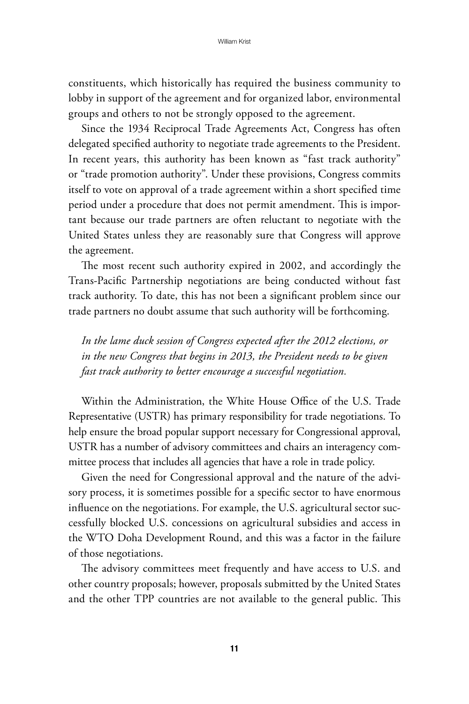constituents, which historically has required the business community to lobby in support of the agreement and for organized labor, environmental groups and others to not be strongly opposed to the agreement.

Since the 1934 Reciprocal Trade Agreements Act, Congress has often delegated specified authority to negotiate trade agreements to the President. In recent years, this authority has been known as "fast track authority" or "trade promotion authority". Under these provisions, Congress commits itself to vote on approval of a trade agreement within a short specified time period under a procedure that does not permit amendment. This is important because our trade partners are often reluctant to negotiate with the United States unless they are reasonably sure that Congress will approve the agreement.

The most recent such authority expired in 2002, and accordingly the Trans-Pacific Partnership negotiations are being conducted without fast track authority. To date, this has not been a significant problem since our trade partners no doubt assume that such authority will be forthcoming.

*In the lame duck session of Congress expected after the 2012 elections, or in the new Congress that begins in 2013, the President needs to be given fast track authority to better encourage a successful negotiation.*

Within the Administration, the White House Office of the U.S. Trade Representative (USTR) has primary responsibility for trade negotiations. To help ensure the broad popular support necessary for Congressional approval, USTR has a number of advisory committees and chairs an interagency committee process that includes all agencies that have a role in trade policy.

Given the need for Congressional approval and the nature of the advisory process, it is sometimes possible for a specific sector to have enormous influence on the negotiations. For example, the U.S. agricultural sector successfully blocked U.S. concessions on agricultural subsidies and access in the WTO Doha Development Round, and this was a factor in the failure of those negotiations.

The advisory committees meet frequently and have access to U.S. and other country proposals; however, proposals submitted by the United States and the other TPP countries are not available to the general public. This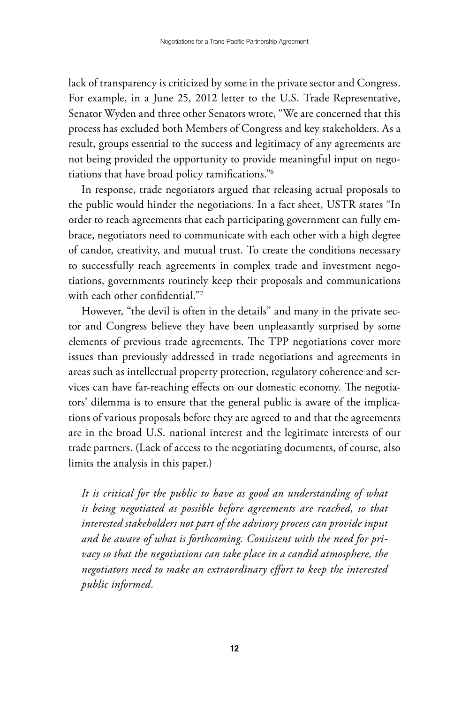lack of transparency is criticized by some in the private sector and Congress. For example, in a June 25, 2012 letter to the U.S. Trade Representative, Senator Wyden and three other Senators wrote, "We are concerned that this process has excluded both Members of Congress and key stakeholders. As a result, groups essential to the success and legitimacy of any agreements are not being provided the opportunity to provide meaningful input on negotiations that have broad policy ramifications."6

In response, trade negotiators argued that releasing actual proposals to the public would hinder the negotiations. In a fact sheet, USTR states "In order to reach agreements that each participating government can fully embrace, negotiators need to communicate with each other with a high degree of candor, creativity, and mutual trust. To create the conditions necessary to successfully reach agreements in complex trade and investment negotiations, governments routinely keep their proposals and communications with each other confidential."7

However, "the devil is often in the details" and many in the private sector and Congress believe they have been unpleasantly surprised by some elements of previous trade agreements. The TPP negotiations cover more issues than previously addressed in trade negotiations and agreements in areas such as intellectual property protection, regulatory coherence and services can have far-reaching effects on our domestic economy. The negotiators' dilemma is to ensure that the general public is aware of the implications of various proposals before they are agreed to and that the agreements are in the broad U.S. national interest and the legitimate interests of our trade partners. (Lack of access to the negotiating documents, of course, also limits the analysis in this paper.)

*It is critical for the public to have as good an understanding of what is being negotiated as possible before agreements are reached, so that interested stakeholders not part of the advisory process can provide input and be aware of what is forthcoming. Consistent with the need for privacy so that the negotiations can take place in a candid atmosphere, the negotiators need to make an extraordinary effort to keep the interested public informed.*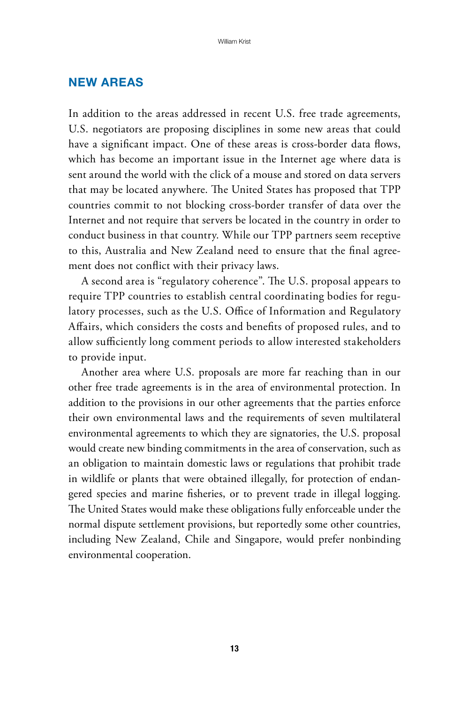#### New Areas

In addition to the areas addressed in recent U.S. free trade agreements, U.S. negotiators are proposing disciplines in some new areas that could have a significant impact. One of these areas is cross-border data flows, which has become an important issue in the Internet age where data is sent around the world with the click of a mouse and stored on data servers that may be located anywhere. The United States has proposed that TPP countries commit to not blocking cross-border transfer of data over the Internet and not require that servers be located in the country in order to conduct business in that country. While our TPP partners seem receptive to this, Australia and New Zealand need to ensure that the final agreement does not conflict with their privacy laws.

A second area is "regulatory coherence". The U.S. proposal appears to require TPP countries to establish central coordinating bodies for regulatory processes, such as the U.S. Office of Information and Regulatory Affairs, which considers the costs and benefits of proposed rules, and to allow sufficiently long comment periods to allow interested stakeholders to provide input.

Another area where U.S. proposals are more far reaching than in our other free trade agreements is in the area of environmental protection. In addition to the provisions in our other agreements that the parties enforce their own environmental laws and the requirements of seven multilateral environmental agreements to which they are signatories, the U.S. proposal would create new binding commitments in the area of conservation, such as an obligation to maintain domestic laws or regulations that prohibit trade in wildlife or plants that were obtained illegally, for protection of endangered species and marine fisheries, or to prevent trade in illegal logging. The United States would make these obligations fully enforceable under the normal dispute settlement provisions, but reportedly some other countries, including New Zealand, Chile and Singapore, would prefer nonbinding environmental cooperation.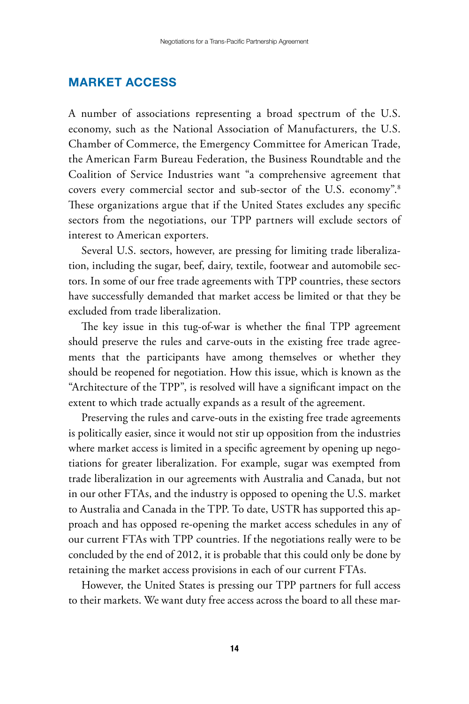#### Market Access

A number of associations representing a broad spectrum of the U.S. economy, such as the National Association of Manufacturers, the U.S. Chamber of Commerce, the Emergency Committee for American Trade, the American Farm Bureau Federation, the Business Roundtable and the Coalition of Service Industries want "a comprehensive agreement that covers every commercial sector and sub-sector of the U.S. economy".8 These organizations argue that if the United States excludes any specific sectors from the negotiations, our TPP partners will exclude sectors of interest to American exporters.

Several U.S. sectors, however, are pressing for limiting trade liberalization, including the sugar, beef, dairy, textile, footwear and automobile sectors. In some of our free trade agreements with TPP countries, these sectors have successfully demanded that market access be limited or that they be excluded from trade liberalization.

The key issue in this tug-of-war is whether the final TPP agreement should preserve the rules and carve-outs in the existing free trade agreements that the participants have among themselves or whether they should be reopened for negotiation. How this issue, which is known as the "Architecture of the TPP", is resolved will have a significant impact on the extent to which trade actually expands as a result of the agreement.

Preserving the rules and carve-outs in the existing free trade agreements is politically easier, since it would not stir up opposition from the industries where market access is limited in a specific agreement by opening up negotiations for greater liberalization. For example, sugar was exempted from trade liberalization in our agreements with Australia and Canada, but not in our other FTAs, and the industry is opposed to opening the U.S. market to Australia and Canada in the TPP. To date, USTR has supported this approach and has opposed re-opening the market access schedules in any of our current FTAs with TPP countries. If the negotiations really were to be concluded by the end of 2012, it is probable that this could only be done by retaining the market access provisions in each of our current FTAs.

However, the United States is pressing our TPP partners for full access to their markets. We want duty free access across the board to all these mar-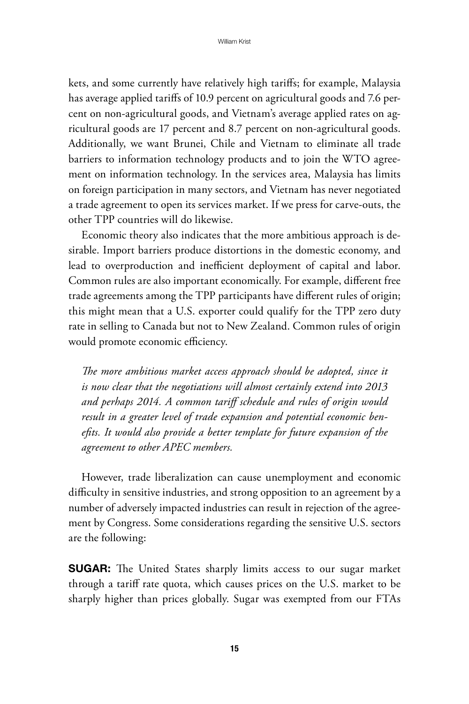kets, and some currently have relatively high tariffs; for example, Malaysia has average applied tariffs of 10.9 percent on agricultural goods and 7.6 percent on non-agricultural goods, and Vietnam's average applied rates on agricultural goods are 17 percent and 8.7 percent on non-agricultural goods. Additionally, we want Brunei, Chile and Vietnam to eliminate all trade barriers to information technology products and to join the WTO agreement on information technology. In the services area, Malaysia has limits on foreign participation in many sectors, and Vietnam has never negotiated a trade agreement to open its services market. If we press for carve-outs, the other TPP countries will do likewise.

Economic theory also indicates that the more ambitious approach is desirable. Import barriers produce distortions in the domestic economy, and lead to overproduction and inefficient deployment of capital and labor. Common rules are also important economically. For example, different free trade agreements among the TPP participants have different rules of origin; this might mean that a U.S. exporter could qualify for the TPP zero duty rate in selling to Canada but not to New Zealand. Common rules of origin would promote economic efficiency.

*The more ambitious market access approach should be adopted, since it is now clear that the negotiations will almost certainly extend into 2013 and perhaps 2014. A common tariff schedule and rules of origin would result in a greater level of trade expansion and potential economic benefits. It would also provide a better template for future expansion of the agreement to other APEC members.*

However, trade liberalization can cause unemployment and economic difficulty in sensitive industries, and strong opposition to an agreement by a number of adversely impacted industries can result in rejection of the agreement by Congress. Some considerations regarding the sensitive U.S. sectors are the following:

**SUGAR:** The United States sharply limits access to our sugar market through a tariff rate quota, which causes prices on the U.S. market to be sharply higher than prices globally. Sugar was exempted from our FTAs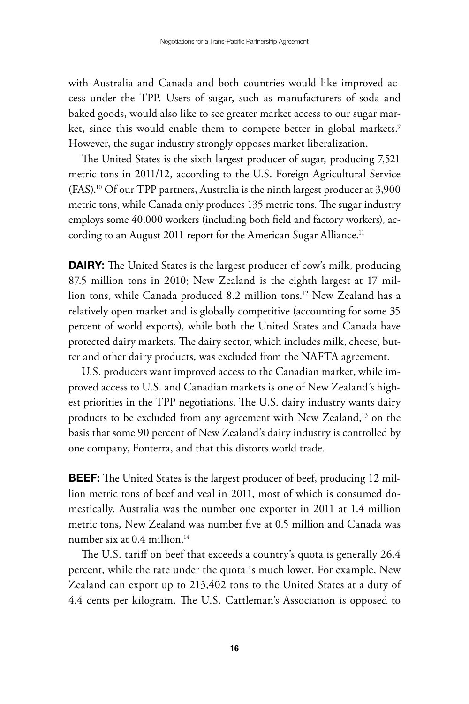with Australia and Canada and both countries would like improved access under the TPP. Users of sugar, such as manufacturers of soda and baked goods, would also like to see greater market access to our sugar market, since this would enable them to compete better in global markets.<sup>9</sup> However, the sugar industry strongly opposes market liberalization.

The United States is the sixth largest producer of sugar, producing 7,521 metric tons in 2011/12, according to the U.S. Foreign Agricultural Service (FAS).10 Of our TPP partners, Australia is the ninth largest producer at 3,900 metric tons, while Canada only produces 135 metric tons. The sugar industry employs some 40,000 workers (including both field and factory workers), according to an August 2011 report for the American Sugar Alliance.<sup>11</sup>

**DAIRY:** The United States is the largest producer of cow's milk, producing 87.5 million tons in 2010; New Zealand is the eighth largest at 17 million tons, while Canada produced 8.2 million tons.12 New Zealand has a relatively open market and is globally competitive (accounting for some 35 percent of world exports), while both the United States and Canada have protected dairy markets. The dairy sector, which includes milk, cheese, butter and other dairy products, was excluded from the NAFTA agreement.

U.S. producers want improved access to the Canadian market, while improved access to U.S. and Canadian markets is one of New Zealand's highest priorities in the TPP negotiations. The U.S. dairy industry wants dairy products to be excluded from any agreement with New Zealand,<sup>13</sup> on the basis that some 90 percent of New Zealand's dairy industry is controlled by one company, Fonterra, and that this distorts world trade.

**BEEF:** The United States is the largest producer of beef, producing 12 million metric tons of beef and veal in 2011, most of which is consumed domestically. Australia was the number one exporter in 2011 at 1.4 million metric tons, New Zealand was number five at 0.5 million and Canada was number six at 0.4 million.<sup>14</sup>

The U.S. tariff on beef that exceeds a country's quota is generally 26.4 percent, while the rate under the quota is much lower. For example, New Zealand can export up to 213,402 tons to the United States at a duty of 4.4 cents per kilogram. The U.S. Cattleman's Association is opposed to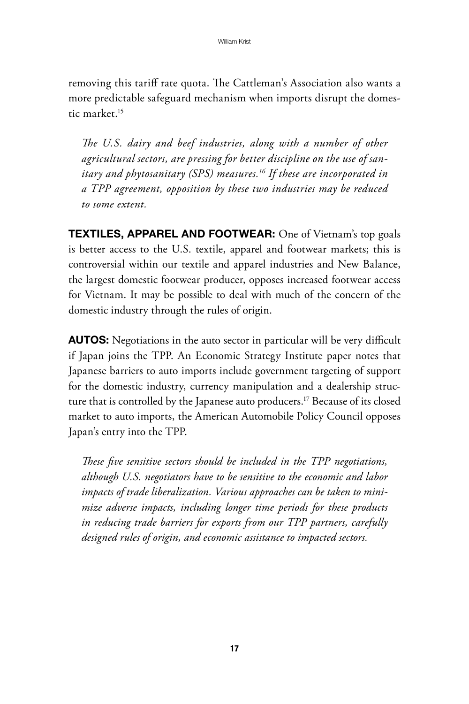removing this tariff rate quota. The Cattleman's Association also wants a more predictable safeguard mechanism when imports disrupt the domestic market<sup>15</sup>

*The U.S. dairy and beef industries, along with a number of other agricultural sectors, are pressing for better discipline on the use of sanitary and phytosanitary (SPS) measures.16 If these are incorporated in a TPP agreement, opposition by these two industries may be reduced to some extent.*

TEXTILES, APPAREL AND FOOTWEAR: One of Vietnam's top goals is better access to the U.S. textile, apparel and footwear markets; this is controversial within our textile and apparel industries and New Balance, the largest domestic footwear producer, opposes increased footwear access for Vietnam. It may be possible to deal with much of the concern of the domestic industry through the rules of origin.

**AUTOS:** Negotiations in the auto sector in particular will be very difficult if Japan joins the TPP. An Economic Strategy Institute paper notes that Japanese barriers to auto imports include government targeting of support for the domestic industry, currency manipulation and a dealership structure that is controlled by the Japanese auto producers.17 Because of its closed market to auto imports, the American Automobile Policy Council opposes Japan's entry into the TPP.

*These five sensitive sectors should be included in the TPP negotiations, although U.S. negotiators have to be sensitive to the economic and labor impacts of trade liberalization. Various approaches can be taken to minimize adverse impacts, including longer time periods for these products in reducing trade barriers for exports from our TPP partners, carefully designed rules of origin, and economic assistance to impacted sectors.*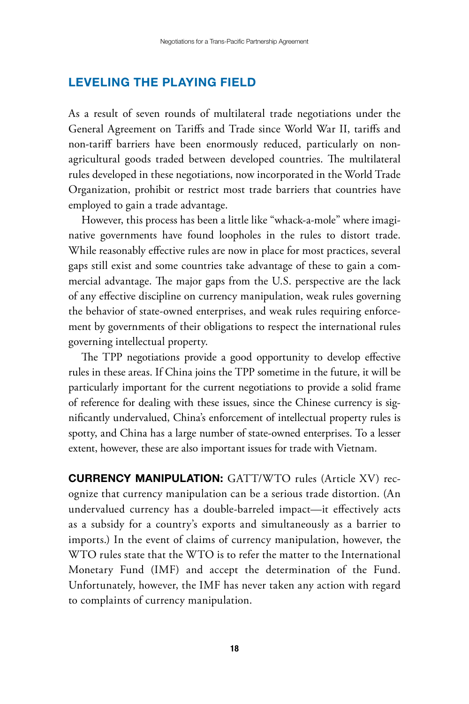#### Leveling the Playing Field

As a result of seven rounds of multilateral trade negotiations under the General Agreement on Tariffs and Trade since World War II, tariffs and non-tariff barriers have been enormously reduced, particularly on nonagricultural goods traded between developed countries. The multilateral rules developed in these negotiations, now incorporated in the World Trade Organization, prohibit or restrict most trade barriers that countries have employed to gain a trade advantage.

However, this process has been a little like "whack-a-mole" where imaginative governments have found loopholes in the rules to distort trade. While reasonably effective rules are now in place for most practices, several gaps still exist and some countries take advantage of these to gain a commercial advantage. The major gaps from the U.S. perspective are the lack of any effective discipline on currency manipulation, weak rules governing the behavior of state-owned enterprises, and weak rules requiring enforcement by governments of their obligations to respect the international rules governing intellectual property.

The TPP negotiations provide a good opportunity to develop effective rules in these areas. If China joins the TPP sometime in the future, it will be particularly important for the current negotiations to provide a solid frame of reference for dealing with these issues, since the Chinese currency is significantly undervalued, China's enforcement of intellectual property rules is spotty, and China has a large number of state-owned enterprises. To a lesser extent, however, these are also important issues for trade with Vietnam.

**CURRENCY MANIPULATION:** GATT/WTO rules (Article XV) recognize that currency manipulation can be a serious trade distortion. (An undervalued currency has a double-barreled impact—it effectively acts as a subsidy for a country's exports and simultaneously as a barrier to imports.) In the event of claims of currency manipulation, however, the WTO rules state that the WTO is to refer the matter to the International Monetary Fund (IMF) and accept the determination of the Fund. Unfortunately, however, the IMF has never taken any action with regard to complaints of currency manipulation.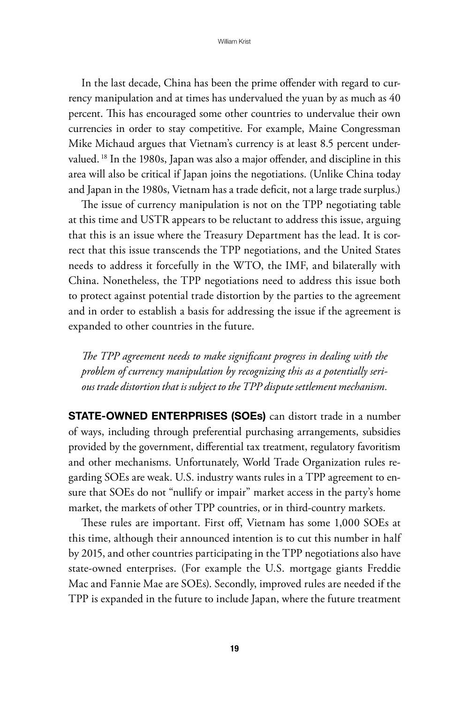In the last decade, China has been the prime offender with regard to currency manipulation and at times has undervalued the yuan by as much as 40 percent. This has encouraged some other countries to undervalue their own currencies in order to stay competitive. For example, Maine Congressman Mike Michaud argues that Vietnam's currency is at least 8.5 percent undervalued. 18 In the 1980s, Japan was also a major offender, and discipline in this area will also be critical if Japan joins the negotiations. (Unlike China today and Japan in the 1980s, Vietnam has a trade deficit, not a large trade surplus.)

The issue of currency manipulation is not on the TPP negotiating table at this time and USTR appears to be reluctant to address this issue, arguing that this is an issue where the Treasury Department has the lead. It is correct that this issue transcends the TPP negotiations, and the United States needs to address it forcefully in the WTO, the IMF, and bilaterally with China. Nonetheless, the TPP negotiations need to address this issue both to protect against potential trade distortion by the parties to the agreement and in order to establish a basis for addressing the issue if the agreement is expanded to other countries in the future.

*The TPP agreement needs to make significant progress in dealing with the problem of currency manipulation by recognizing this as a potentially serious trade distortion that is subject to the TPP dispute settlement mechanism.*

**STATE-OWNED ENTERPRISES (SOEs)** can distort trade in a number of ways, including through preferential purchasing arrangements, subsidies provided by the government, differential tax treatment, regulatory favoritism and other mechanisms. Unfortunately, World Trade Organization rules regarding SOEs are weak. U.S. industry wants rules in a TPP agreement to ensure that SOEs do not "nullify or impair" market access in the party's home market, the markets of other TPP countries, or in third-country markets.

These rules are important. First off, Vietnam has some 1,000 SOEs at this time, although their announced intention is to cut this number in half by 2015, and other countries participating in the TPP negotiations also have state-owned enterprises. (For example the U.S. mortgage giants Freddie Mac and Fannie Mae are SOEs). Secondly, improved rules are needed if the TPP is expanded in the future to include Japan, where the future treatment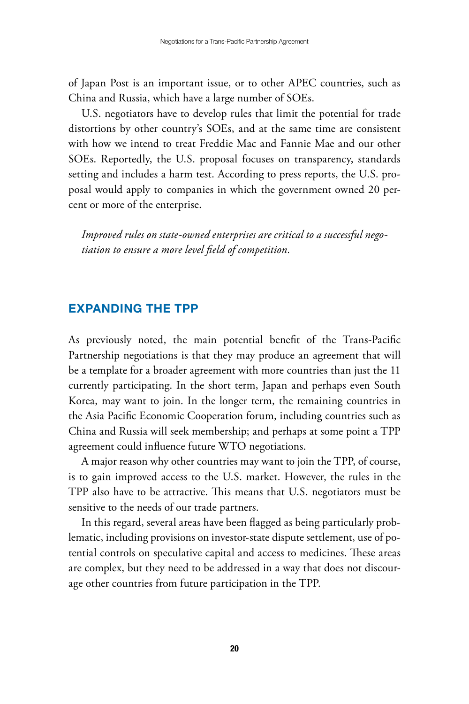of Japan Post is an important issue, or to other APEC countries, such as China and Russia, which have a large number of SOEs.

U.S. negotiators have to develop rules that limit the potential for trade distortions by other country's SOEs, and at the same time are consistent with how we intend to treat Freddie Mac and Fannie Mae and our other SOEs. Reportedly, the U.S. proposal focuses on transparency, standards setting and includes a harm test. According to press reports, the U.S. proposal would apply to companies in which the government owned 20 percent or more of the enterprise.

*Improved rules on state-owned enterprises are critical to a successful negotiation to ensure a more level field of competition.*

#### Expanding the TPP

As previously noted, the main potential benefit of the Trans-Pacific Partnership negotiations is that they may produce an agreement that will be a template for a broader agreement with more countries than just the 11 currently participating. In the short term, Japan and perhaps even South Korea, may want to join. In the longer term, the remaining countries in the Asia Pacific Economic Cooperation forum, including countries such as China and Russia will seek membership; and perhaps at some point a TPP agreement could influence future WTO negotiations.

A major reason why other countries may want to join the TPP, of course, is to gain improved access to the U.S. market. However, the rules in the TPP also have to be attractive. This means that U.S. negotiators must be sensitive to the needs of our trade partners.

In this regard, several areas have been flagged as being particularly problematic, including provisions on investor-state dispute settlement, use of potential controls on speculative capital and access to medicines. These areas are complex, but they need to be addressed in a way that does not discourage other countries from future participation in the TPP.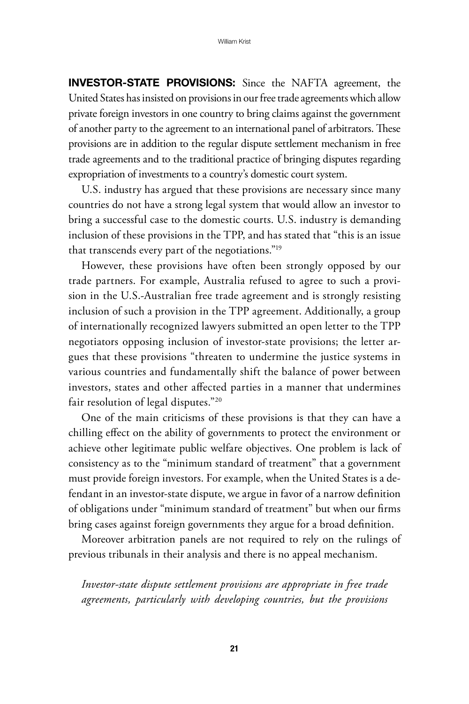Investor-State Provisions: Since the NAFTA agreement, the United States has insisted on provisions in our free trade agreements which allow private foreign investors in one country to bring claims against the government of another party to the agreement to an international panel of arbitrators. These provisions are in addition to the regular dispute settlement mechanism in free trade agreements and to the traditional practice of bringing disputes regarding expropriation of investments to a country's domestic court system.

U.S. industry has argued that these provisions are necessary since many countries do not have a strong legal system that would allow an investor to bring a successful case to the domestic courts. U.S. industry is demanding inclusion of these provisions in the TPP, and has stated that "this is an issue that transcends every part of the negotiations."19

However, these provisions have often been strongly opposed by our trade partners. For example, Australia refused to agree to such a provision in the U.S.-Australian free trade agreement and is strongly resisting inclusion of such a provision in the TPP agreement. Additionally, a group of internationally recognized lawyers submitted an open letter to the TPP negotiators opposing inclusion of investor-state provisions; the letter argues that these provisions "threaten to undermine the justice systems in various countries and fundamentally shift the balance of power between investors, states and other affected parties in a manner that undermines fair resolution of legal disputes."20

One of the main criticisms of these provisions is that they can have a chilling effect on the ability of governments to protect the environment or achieve other legitimate public welfare objectives. One problem is lack of consistency as to the "minimum standard of treatment" that a government must provide foreign investors. For example, when the United States is a defendant in an investor-state dispute, we argue in favor of a narrow definition of obligations under "minimum standard of treatment" but when our firms bring cases against foreign governments they argue for a broad definition.

Moreover arbitration panels are not required to rely on the rulings of previous tribunals in their analysis and there is no appeal mechanism.

*Investor-state dispute settlement provisions are appropriate in free trade agreements, particularly with developing countries, but the provisions*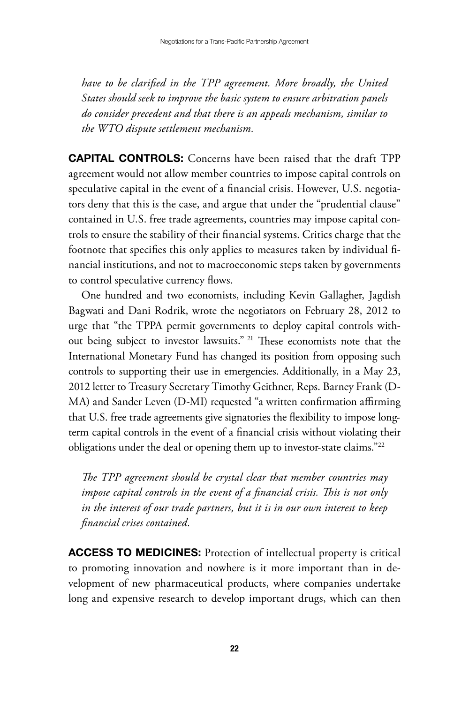*have to be clarified in the TPP agreement. More broadly, the United States should seek to improve the basic system to ensure arbitration panels do consider precedent and that there is an appeals mechanism, similar to the WTO dispute settlement mechanism.*

**CAPITAL CONTROLS:** Concerns have been raised that the draft TPP agreement would not allow member countries to impose capital controls on speculative capital in the event of a financial crisis. However, U.S. negotiators deny that this is the case, and argue that under the "prudential clause" contained in U.S. free trade agreements, countries may impose capital controls to ensure the stability of their financial systems. Critics charge that the footnote that specifies this only applies to measures taken by individual financial institutions, and not to macroeconomic steps taken by governments to control speculative currency flows.

One hundred and two economists, including Kevin Gallagher, Jagdish Bagwati and Dani Rodrik, wrote the negotiators on February 28, 2012 to urge that "the TPPA permit governments to deploy capital controls without being subject to investor lawsuits." 21 These economists note that the International Monetary Fund has changed its position from opposing such controls to supporting their use in emergencies. Additionally, in a May 23, 2012 letter to Treasury Secretary Timothy Geithner, Reps. Barney Frank (D-MA) and Sander Leven (D-MI) requested "a written confirmation affirming that U.S. free trade agreements give signatories the flexibility to impose longterm capital controls in the event of a financial crisis without violating their obligations under the deal or opening them up to investor-state claims."22

*The TPP agreement should be crystal clear that member countries may impose capital controls in the event of a financial crisis. This is not only in the interest of our trade partners, but it is in our own interest to keep financial crises contained.*

ACCESS TO MEDICINES: Protection of intellectual property is critical to promoting innovation and nowhere is it more important than in development of new pharmaceutical products, where companies undertake long and expensive research to develop important drugs, which can then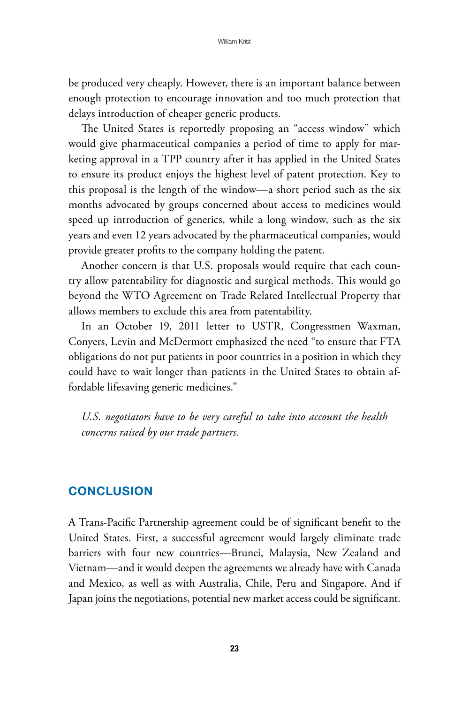be produced very cheaply. However, there is an important balance between enough protection to encourage innovation and too much protection that delays introduction of cheaper generic products.

The United States is reportedly proposing an "access window" which would give pharmaceutical companies a period of time to apply for marketing approval in a TPP country after it has applied in the United States to ensure its product enjoys the highest level of patent protection. Key to this proposal is the length of the window—a short period such as the six months advocated by groups concerned about access to medicines would speed up introduction of generics, while a long window, such as the six years and even 12 years advocated by the pharmaceutical companies, would provide greater profits to the company holding the patent.

Another concern is that U.S. proposals would require that each country allow patentability for diagnostic and surgical methods. This would go beyond the WTO Agreement on Trade Related Intellectual Property that allows members to exclude this area from patentability.

In an October 19, 2011 letter to USTR, Congressmen Waxman, Conyers, Levin and McDermott emphasized the need "to ensure that FTA obligations do not put patients in poor countries in a position in which they could have to wait longer than patients in the United States to obtain affordable lifesaving generic medicines."

*U.S. negotiators have to be very careful to take into account the health concerns raised by our trade partners.*

#### **CONCLUSION**

A Trans-Pacific Partnership agreement could be of significant benefit to the United States. First, a successful agreement would largely eliminate trade barriers with four new countries—Brunei, Malaysia, New Zealand and Vietnam—and it would deepen the agreements we already have with Canada and Mexico, as well as with Australia, Chile, Peru and Singapore. And if Japan joins the negotiations, potential new market access could be significant.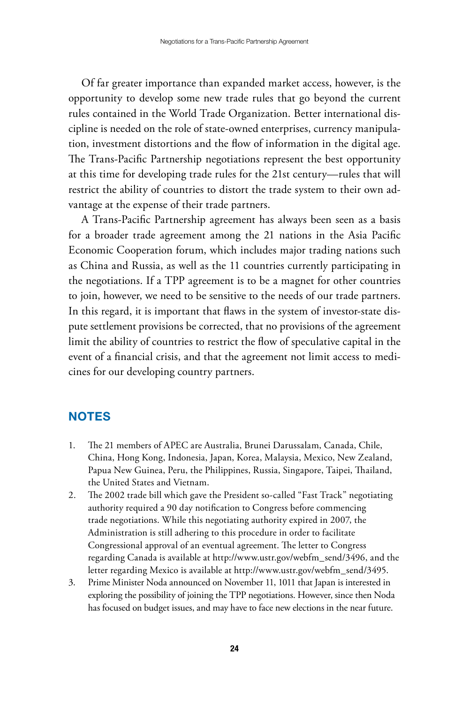Of far greater importance than expanded market access, however, is the opportunity to develop some new trade rules that go beyond the current rules contained in the World Trade Organization. Better international discipline is needed on the role of state-owned enterprises, currency manipulation, investment distortions and the flow of information in the digital age. The Trans-Pacific Partnership negotiations represent the best opportunity at this time for developing trade rules for the 21st century—rules that will restrict the ability of countries to distort the trade system to their own advantage at the expense of their trade partners.

A Trans-Pacific Partnership agreement has always been seen as a basis for a broader trade agreement among the 21 nations in the Asia Pacific Economic Cooperation forum, which includes major trading nations such as China and Russia, as well as the 11 countries currently participating in the negotiations. If a TPP agreement is to be a magnet for other countries to join, however, we need to be sensitive to the needs of our trade partners. In this regard, it is important that flaws in the system of investor-state dispute settlement provisions be corrected, that no provisions of the agreement limit the ability of countries to restrict the flow of speculative capital in the event of a financial crisis, and that the agreement not limit access to medicines for our developing country partners.

#### **NOTES**

- 1. The 21 members of APEC are Australia, Brunei Darussalam, Canada, Chile, China, Hong Kong, Indonesia, Japan, Korea, Malaysia, Mexico, New Zealand, Papua New Guinea, Peru, the Philippines, Russia, Singapore, Taipei, Thailand, the United States and Vietnam.
- 2. The 2002 trade bill which gave the President so-called "Fast Track" negotiating authority required a 90 day notification to Congress before commencing trade negotiations. While this negotiating authority expired in 2007, the Administration is still adhering to this procedure in order to facilitate Congressional approval of an eventual agreement. The letter to Congress regarding Canada is available at http://www.ustr.gov/webfm\_send/3496, and the letter regarding Mexico is available at http://www.ustr.gov/webfm\_send/3495.
- 3. Prime Minister Noda announced on November 11, 1011 that Japan is interested in exploring the possibility of joining the TPP negotiations. However, since then Noda has focused on budget issues, and may have to face new elections in the near future.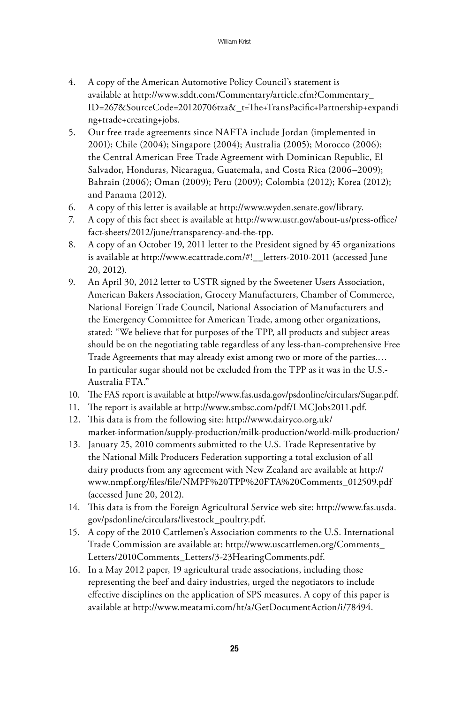- 4. A copy of the American Automotive Policy Council's statement is available at http://www.sddt.com/Commentary/article.cfm?Commentary\_ ID=267&SourceCode=20120706tza&\_t=The+TransPacific+Partnership+expandi ng+trade+creating+jobs.
- 5. Our free trade agreements since NAFTA include Jordan (implemented in 2001); Chile (2004); Singapore (2004); Australia (2005); Morocco (2006); the Central American Free Trade Agreement with Dominican Republic, El Salvador, Honduras, Nicaragua, Guatemala, and Costa Rica (2006–2009); Bahrain (2006); Oman (2009); Peru (2009); Colombia (2012); Korea (2012); and Panama (2012).
- 6. A copy of this letter is available at http://www.wyden.senate.gov/library.
- 7. A copy of this fact sheet is available at http://www.ustr.gov/about-us/press-office/ fact-sheets/2012/june/transparency-and-the-tpp.
- 8. A copy of an October 19, 2011 letter to the President signed by 45 organizations is available at http://www.ecattrade.com/#!\_\_letters-2010-2011 (accessed June 20, 2012).
- 9. An April 30, 2012 letter to USTR signed by the Sweetener Users Association, American Bakers Association, Grocery Manufacturers, Chamber of Commerce, National Foreign Trade Council, National Association of Manufacturers and the Emergency Committee for American Trade, among other organizations, stated: "We believe that for purposes of the TPP, all products and subject areas should be on the negotiating table regardless of any less-than-comprehensive Free Trade Agreements that may already exist among two or more of the parties.… In particular sugar should not be excluded from the TPP as it was in the U.S.- Australia FTA."
- 10. The FAS report is available at http://www.fas.usda.gov/psdonline/circulars/Sugar.pdf.
- 11. The report is available at http://www.smbsc.com/pdf/LMCJobs2011.pdf.
- 12. This data is from the following site: http://www.dairyco.org.uk/ market-information/supply-production/milk-production/world-milk-production/
- 13. January 25, 2010 comments submitted to the U.S. Trade Representative by the National Milk Producers Federation supporting a total exclusion of all dairy products from any agreement with New Zealand are available at http:// www.nmpf.org/files/file/NMPF%20TPP%20FTA%20Comments\_012509.pdf (accessed June 20, 2012).
- 14. This data is from the Foreign Agricultural Service web site: http://www.fas.usda. gov/psdonline/circulars/livestock\_poultry.pdf.
- 15. A copy of the 2010 Cattlemen's Association comments to the U.S. International Trade Commission are available at: http://www.uscattlemen.org/Comments\_ Letters/2010Comments\_Letters/3-23HearingComments.pdf.
- 16. In a May 2012 paper, 19 agricultural trade associations, including those representing the beef and dairy industries, urged the negotiators to include effective disciplines on the application of SPS measures. A copy of this paper is available at http://www.meatami.com/ht/a/GetDocumentAction/i/78494.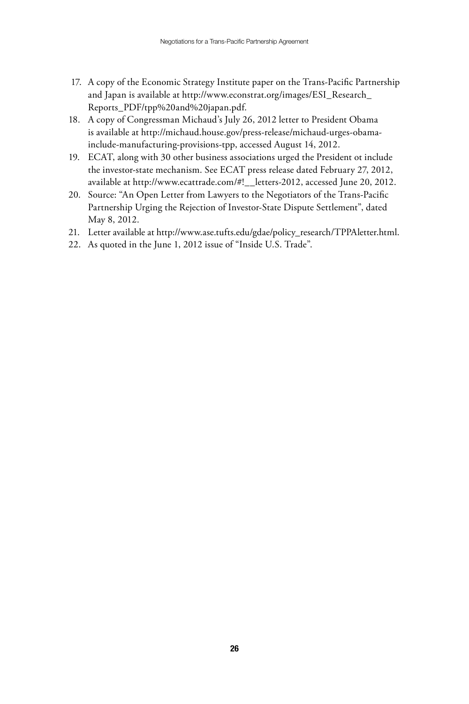- 17. A copy of the Economic Strategy Institute paper on the Trans-Pacific Partnership and Japan is available at http://www.econstrat.org/images/ESI\_Research\_ Reports\_PDF/tpp%20and%20japan.pdf.
- 18. A copy of Congressman Michaud's July 26, 2012 letter to President Obama is available at http://michaud.house.gov/press-release/michaud-urges-obamainclude-manufacturing-provisions-tpp, accessed August 14, 2012.
- 19. ECAT, along with 30 other business associations urged the President ot include the investor-state mechanism. See ECAT press release dated February 27, 2012, available at http://www.ecattrade.com/#!\_\_letters-2012, accessed June 20, 2012.
- 20. Source: "An Open Letter from Lawyers to the Negotiators of the Trans-Pacific Partnership Urging the Rejection of Investor-State Dispute Settlement", dated May 8, 2012.
- 21. Letter available at http://www.ase.tufts.edu/gdae/policy\_research/TPPAletter.html.
- 22. As quoted in the June 1, 2012 issue of "Inside U.S. Trade".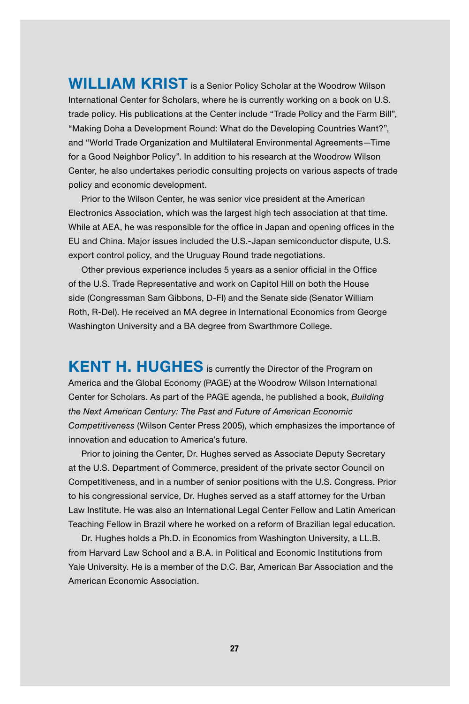**WILLIAM KRIST** is a Senior Policy Scholar at the Woodrow Wilson International Center for Scholars, where he is currently working on a book on U.S. trade policy. His publications at the Center include "Trade Policy and the Farm Bill", "Making Doha a Development Round: What do the Developing Countries Want?", and "World Trade Organization and Multilateral Environmental Agreements—Time for a Good Neighbor Policy". In addition to his research at the Woodrow Wilson Center, he also undertakes periodic consulting projects on various aspects of trade policy and economic development.

Prior to the Wilson Center, he was senior vice president at the American Electronics Association, which was the largest high tech association at that time. While at AEA, he was responsible for the office in Japan and opening offices in the EU and China. Major issues included the U.S.-Japan semiconductor dispute, U.S. export control policy, and the Uruguay Round trade negotiations.

Other previous experience includes 5 years as a senior official in the Office of the U.S. Trade Representative and work on Capitol Hill on both the House side (Congressman Sam Gibbons, D-Fl) and the Senate side (Senator William Roth, R-Del). He received an MA degree in International Economics from George Washington University and a BA degree from Swarthmore College.

KENT H. HUGHES is currently the Director of the Program on America and the Global Economy (PAGE) at the Woodrow Wilson International Center for Scholars. As part of the PAGE agenda, he published a book, *Building the Next American Century: The Past and Future of American Economic Competitiveness* (Wilson Center Press 2005), which emphasizes the importance of innovation and education to America's future.

Prior to joining the Center, Dr. Hughes served as Associate Deputy Secretary at the U.S. Department of Commerce, president of the private sector Council on Competitiveness, and in a number of senior positions with the U.S. Congress. Prior to his congressional service, Dr. Hughes served as a staff attorney for the Urban Law Institute. He was also an International Legal Center Fellow and Latin American Teaching Fellow in Brazil where he worked on a reform of Brazilian legal education.

Dr. Hughes holds a Ph.D. in Economics from Washington University, a LL.B. from Harvard Law School and a B.A. in Political and Economic Institutions from Yale University. He is a member of the D.C. Bar, American Bar Association and the American Economic Association.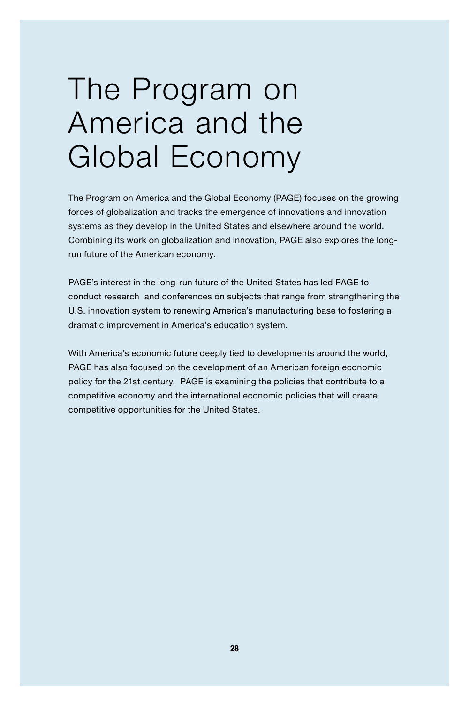### The Program on America and the Global Economy

The Program on America and the Global Economy (PAGE) focuses on the growing forces of globalization and tracks the emergence of innovations and innovation systems as they develop in the United States and elsewhere around the world. Combining its work on globalization and innovation, PAGE also explores the longrun future of the American economy.

PAGE's interest in the long-run future of the United States has led PAGE to conduct research and conferences on subjects that range from strengthening the U.S. innovation system to renewing America's manufacturing base to fostering a dramatic improvement in America's education system.

With America's economic future deeply tied to developments around the world, PAGE has also focused on the development of an American foreign economic policy for the 21st century. PAGE is examining the policies that contribute to a competitive economy and the international economic policies that will create competitive opportunities for the United States.